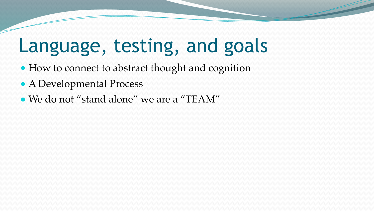## Language, testing, and goals

- How to connect to abstract thought and cognition
- A Developmental Process
- We do not "stand alone" we are a "TEAM"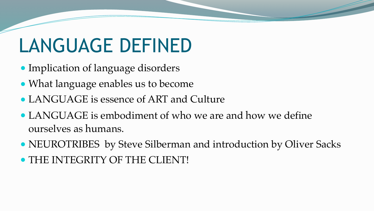# LANGUAGE DEFINED

- Implication of language disorders
- What language enables us to become
- LANGUAGE is essence of ART and Culture
- LANGUAGE is embodiment of who we are and how we define ourselves as humans.
- NEUROTRIBES by Steve Silberman and introduction by Oliver Sacks ● THE INTEGRITY OF THE CLIENT!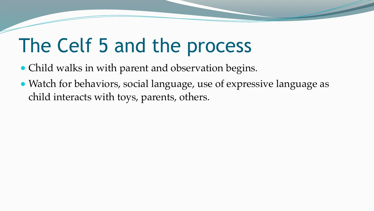## The Celf 5 and the process

- Child walks in with parent and observation begins.
- Watch for behaviors, social language, use of expressive language as child interacts with toys, parents, others.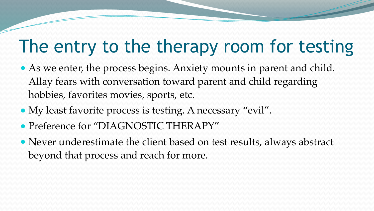### The entry to the therapy room for testing

- As we enter, the process begins. Anxiety mounts in parent and child. Allay fears with conversation toward parent and child regarding hobbies, favorites movies, sports, etc.
- My least favorite process is testing. A necessary "evil".
- Preference for "DIAGNOSTIC THERAPY"
- Never underestimate the client based on test results, always abstract beyond that process and reach for more.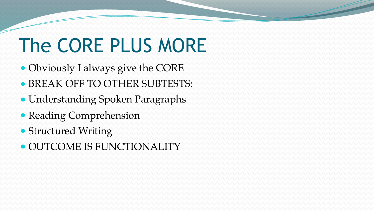# The CORE PLUS MORE

- Obviously I always give the CORE ● BREAK OFF TO OTHER SUBTESTS:
- Understanding Spoken Paragraphs
- Reading Comprehension
- Structured Writing
- OUTCOME IS FUNCTIONALITY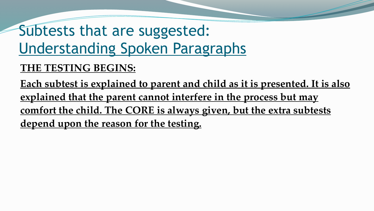### Subtests that are suggested: Understanding Spoken Paragraphs

#### **THE TESTING BEGINS:**

**Each subtest is explained to parent and child as it is presented. It is also explained that the parent cannot interfere in the process but may comfort the child. The CORE is always given, but the extra subtests depend upon the reason for the testing.**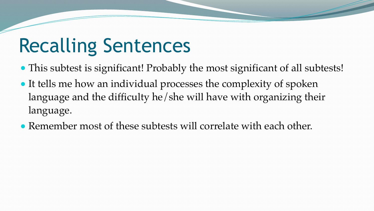# Recalling Sentences

- This subtest is significant! Probably the most significant of all subtests! • It tells me how an individual processes the complexity of spoken language and the difficulty he/she will have with organizing their language.
- Remember most of these subtests will correlate with each other.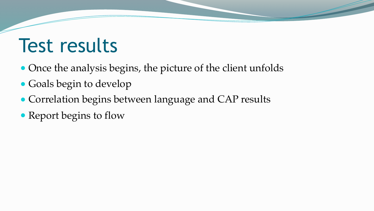### Test results

- Once the analysis begins, the picture of the client unfolds
- Goals begin to develop
- Correlation begins between language and CAP results
- Report begins to flow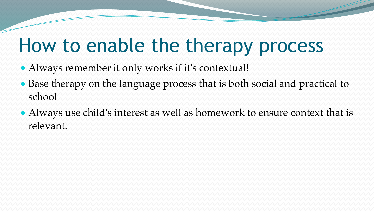### How to enable the therapy process

- Always remember it only works if it's contextual!
- Base therapy on the language process that is both social and practical to school
- Always use child's interest as well as homework to ensure context that is relevant.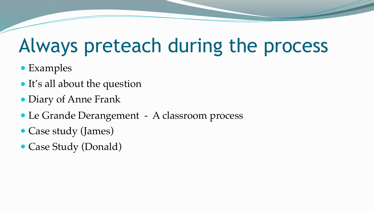### Always preteach during the process

- Examples
- It's all about the question
- Diary of Anne Frank
- Le Grande Derangement A classroom process
- Case study (James)
- Case Study (Donald)